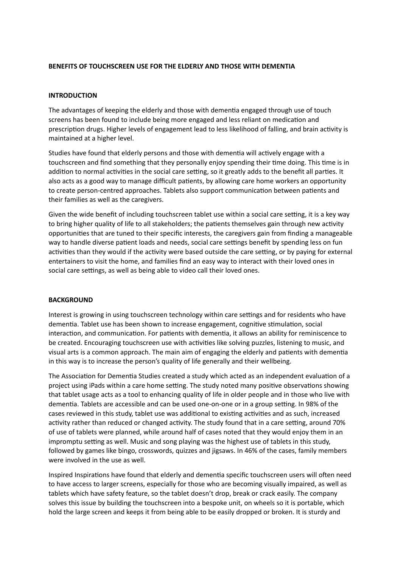# **BENEFITS OF TOUCHSCREEN USE FOR THE ELDERLY AND THOSE WITH DEMENTIA**

# **INTRODUCTION**

The advantages of keeping the elderly and those with dementia engaged through use of touch screens has been found to include being more engaged and less reliant on medication and prescription drugs. Higher levels of engagement lead to less likelihood of falling, and brain activity is maintained at a higher level.

Studies have found that elderly persons and those with dementia will actively engage with a touchscreen and find something that they personally enjoy spending their time doing. This time is in addition to normal activities in the social care setting, so it greatly adds to the benefit all parties. It also acts as a good way to manage difficult patients, by allowing care home workers an opportunity to create person-centred approaches. Tablets also support communication between patients and their families as well as the caregivers.

Given the wide benefit of including touchscreen tablet use within a social care setting, it is a key way to bring higher quality of life to all stakeholders; the patients themselves gain through new activity opportunities that are tuned to their specific interests, the caregivers gain from finding a manageable way to handle diverse patient loads and needs, social care settings benefit by spending less on fun activities than they would if the activity were based outside the care setting, or by paying for external entertainers to visit the home, and families find an easy way to interact with their loved ones in social care settings, as well as being able to video call their loved ones.

# **BACKGROUND**

Interest is growing in using touchscreen technology within care settings and for residents who have dementia. Tablet use has been shown to increase engagement, cognitive stimulation, social interaction, and communication. For patients with dementia, it allows an ability for reminiscence to be created. Encouraging touchscreen use with activities like solving puzzles, listening to music, and visual arts is a common approach. The main aim of engaging the elderly and patients with dementia in this way is to increase the person's quality of life generally and their wellbeing.

The Association for Dementia Studies created a study which acted as an independent evaluation of a project using iPads within a care home setting. The study noted many positive observations showing that tablet usage acts as a tool to enhancing quality of life in older people and in those who live with dementia. Tablets are accessible and can be used one-on-one or in a group setting. In 98% of the cases reviewed in this study, tablet use was additional to existing activities and as such, increased activity rather than reduced or changed activity. The study found that in a care setting, around 70% of use of tablets were planned, while around half of cases noted that they would enjoy them in an impromptu setting as well. Music and song playing was the highest use of tablets in this study, followed by games like bingo, crosswords, quizzes and jigsaws. In 46% of the cases, family members were involved in the use as well.

Inspired Inspirations have found that elderly and dementia specific touchscreen users will often need to have access to larger screens, especially for those who are becoming visually impaired, as well as tablets which have safety feature, so the tablet doesn't drop, break or crack easily. The company solves this issue by building the touchscreen into a bespoke unit, on wheels so it is portable, which hold the large screen and keeps it from being able to be easily dropped or broken. It is sturdy and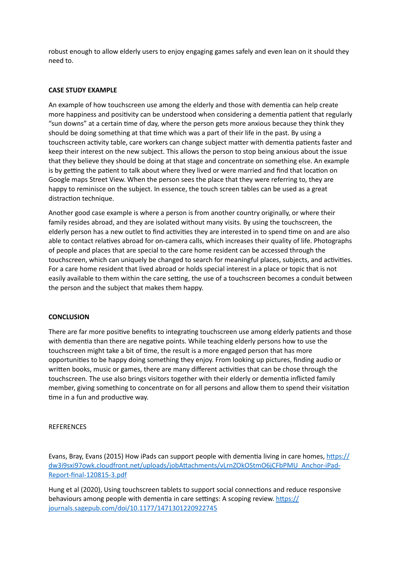robust enough to allow elderly users to enjoy engaging games safely and even lean on it should they need to.

### **CASE STUDY EXAMPLE**

An example of how touchscreen use among the elderly and those with dementia can help create more happiness and positivity can be understood when considering a dementia patient that regularly "sun downs" at a certain time of day, where the person gets more anxious because they think they should be doing something at that time which was a part of their life in the past. By using a touchscreen activity table, care workers can change subject matter with dementia patients faster and keep their interest on the new subject. This allows the person to stop being anxious about the issue that they believe they should be doing at that stage and concentrate on something else. An example is by getting the patient to talk about where they lived or were married and find that location on Google maps Street View. When the person sees the place that they were referring to, they are happy to reminisce on the subject. In essence, the touch screen tables can be used as a great distraction technique.

Another good case example is where a person is from another country originally, or where their family resides abroad, and they are isolated without many visits. By using the touchscreen, the elderly person has a new outlet to find activities they are interested in to spend time on and are also able to contact relatives abroad for on-camera calls, which increases their quality of life. Photographs of people and places that are special to the care home resident can be accessed through the touchscreen, which can uniquely be changed to search for meaningful places, subjects, and activities. For a care home resident that lived abroad or holds special interest in a place or topic that is not easily available to them within the care setting, the use of a touchscreen becomes a conduit between the person and the subject that makes them happy.

### **CONCLUSION**

There are far more positive benefits to integrating touchscreen use among elderly patients and those with dementia than there are negative points. While teaching elderly persons how to use the touchscreen might take a bit of time, the result is a more engaged person that has more opportunities to be happy doing something they enjoy. From looking up pictures, finding audio or written books, music or games, there are many different activities that can be chose through the touchscreen. The use also brings visitors together with their elderly or dementia inflicted family member, giving something to concentrate on for all persons and allow them to spend their visitation time in a fun and productive way.

### **REFERENCES**

Evans, Bray, Evans (2015) How iPads can support people with dementia living in care homes, [https://](https://dw3i9sxi97owk.cloudfront.net/uploads/jobAttachments/vLrnZOkOStmO6jCFbPMU_Anchor-iPad-Report-final-120815-3.pdf) [dw3i9sxi97owk.cloudfront.net/uploads/jobAttachments/vLrnZOkOStmO6jCFbPMU\\_Anchor-iPad-](https://dw3i9sxi97owk.cloudfront.net/uploads/jobAttachments/vLrnZOkOStmO6jCFbPMU_Anchor-iPad-Report-final-120815-3.pdf)[Report-final-120815-3.pdf](https://dw3i9sxi97owk.cloudfront.net/uploads/jobAttachments/vLrnZOkOStmO6jCFbPMU_Anchor-iPad-Report-final-120815-3.pdf)

Hung et al (2020), Using touchscreen tablets to support social connections and reduce responsive behaviours among people with dementia in care settings: A scoping review. [https://](https://journals.sagepub.com/doi/10.1177/1471301220922745) [journals.sagepub.com/doi/10.1177/1471301220922745](https://journals.sagepub.com/doi/10.1177/1471301220922745)